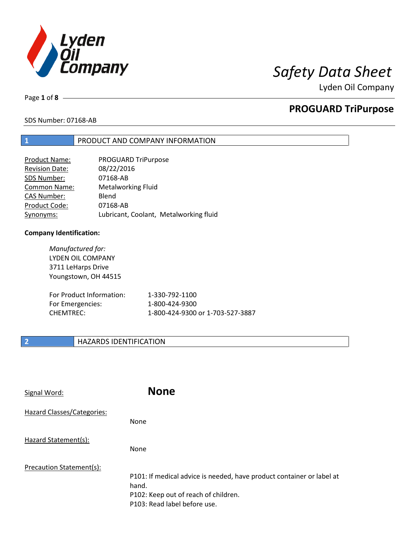

Lyden Oil Company

Page **1** of **8**

## **PROGUARD TriPurpose**

### SDS Number: 07168-AB

### **1** PRODUCT AND COMPANY INFORMATION

| <b>Product Name:</b>  | PROGUARD TriPurpose                    |
|-----------------------|----------------------------------------|
| <b>Revision Date:</b> | 08/22/2016                             |
| SDS Number:           | 07168-AB                               |
| <b>Common Name:</b>   | <b>Metalworking Fluid</b>              |
| <b>CAS Number:</b>    | Blend                                  |
| Product Code:         | 07168-AB                               |
| Synonyms:             | Lubricant, Coolant, Metalworking fluid |

### **Company Identification:**

*Manufactured for:* LYDEN OIL COMPANY 3711 LeHarps Drive Youngstown, OH 44515 For Product Information: 1-330-792-1100 For Emergencies: 1-800-424-9300 CHEMTREC: 1-800-424-9300 or 1-703-527-3887

### **2 HAZARDS IDENTIFICATION**

| Signal Word:               | <b>None</b>                                                                                                                                            |
|----------------------------|--------------------------------------------------------------------------------------------------------------------------------------------------------|
| Hazard Classes/Categories: | None                                                                                                                                                   |
| Hazard Statement(s):       | None                                                                                                                                                   |
| Precaution Statement(s):   | P101: If medical advice is needed, have product container or label at<br>hand.<br>P102: Keep out of reach of children.<br>P103: Read label before use. |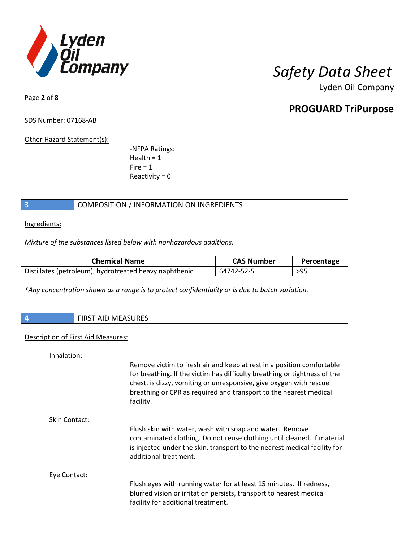

Lyden Oil Company

SDS Number: 07168-AB

Page **2** of **8**

Other Hazard Statement(s):

-NFPA Ratings:  $Health = 1$  $Fire = 1$ Reactivity =  $0$ 

### **3** COMPOSITION / INFORMATION ON INGREDIENTS

Ingredients:

*Mixture of the substances listed below with nonhazardous additions.*

| <b>Chemical Name</b>                                   | <b>CAS Number</b> | Percentage |
|--------------------------------------------------------|-------------------|------------|
| Distillates (petroleum), hydrotreated heavy naphthenic | 64742-52-5        | >95        |

*\*Any concentration shown as a range is to protect confidentiality or is due to batch variation.*

| ∣ ∕n | <b>FIRST AID MEASURES</b> |
|------|---------------------------|
|      |                           |

#### Description of First Aid Measures:

| Inhalation:          |                                                                                                                                                                                                                                                                                                            |
|----------------------|------------------------------------------------------------------------------------------------------------------------------------------------------------------------------------------------------------------------------------------------------------------------------------------------------------|
|                      | Remove victim to fresh air and keep at rest in a position comfortable<br>for breathing. If the victim has difficulty breathing or tightness of the<br>chest, is dizzy, vomiting or unresponsive, give oxygen with rescue<br>breathing or CPR as required and transport to the nearest medical<br>facility. |
| <b>Skin Contact:</b> |                                                                                                                                                                                                                                                                                                            |
|                      | Flush skin with water, wash with soap and water. Remove<br>contaminated clothing. Do not reuse clothing until cleaned. If material<br>is injected under the skin, transport to the nearest medical facility for<br>additional treatment.                                                                   |
| Eye Contact:         |                                                                                                                                                                                                                                                                                                            |
|                      | Flush eyes with running water for at least 15 minutes. If redness,<br>blurred vision or irritation persists, transport to nearest medical<br>facility for additional treatment.                                                                                                                            |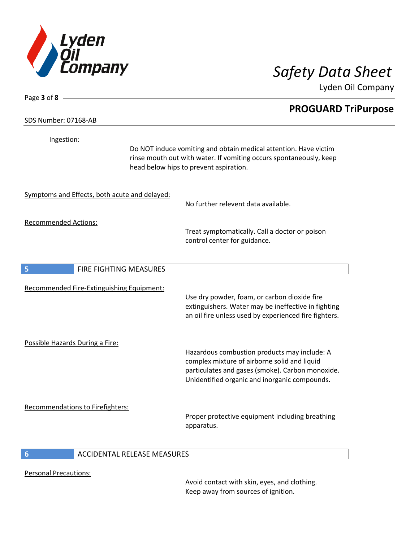

Page **3** of **8**

Lyden Oil Company

# **PROGUARD TriPurpose** SDS Number: 07168-AB Ingestion: Do NOT induce vomiting and obtain medical attention. Have victim rinse mouth out with water. If vomiting occurs spontaneously, keep head below hips to prevent aspiration. Symptoms and Effects, both acute and delayed: No further relevent data available. Recommended Actions: Treat symptomatically. Call a doctor or poison control center for guidance. **5 FIRE FIGHTING MEASURES** Recommended Fire-Extinguishing Equipment: Use dry powder, foam, or carbon dioxide fire extinguishers. Water may be ineffective in fighting an oil fire unless used by experienced fire fighters. Possible Hazards During a Fire: Hazardous combustion products may include: A complex mixture of airborne solid and liquid particulates and gases (smoke). Carbon monoxide. Unidentified organic and inorganic compounds. Recommendations to Firefighters: Proper protective equipment including breathing apparatus.

### **6** ACCIDENTAL RELEASE MEASURES

Personal Precautions:

Avoid contact with skin, eyes, and clothing. Keep away from sources of ignition.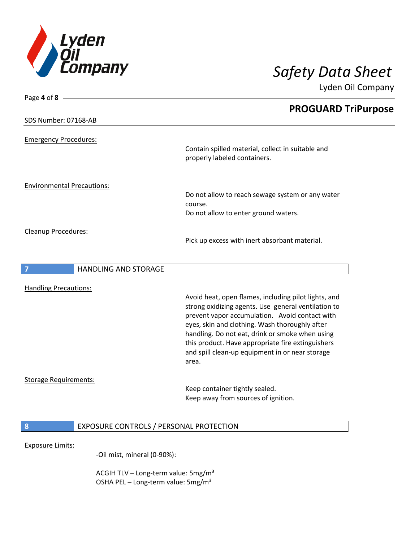

Page **4** of **8**

Lyden Oil Company

|                                   |                             | <b>PROGUARD TriPurpose</b>                                                        |  |
|-----------------------------------|-----------------------------|-----------------------------------------------------------------------------------|--|
| SDS Number: 07168-AB              |                             |                                                                                   |  |
| <b>Emergency Procedures:</b>      |                             |                                                                                   |  |
|                                   |                             | Contain spilled material, collect in suitable and<br>properly labeled containers. |  |
| <b>Environmental Precautions:</b> |                             | Do not allow to reach sewage system or any water                                  |  |
|                                   |                             | course.                                                                           |  |
|                                   |                             | Do not allow to enter ground waters.                                              |  |
| <b>Cleanup Procedures:</b>        |                             |                                                                                   |  |
|                                   |                             | Pick up excess with inert absorbant material.                                     |  |
|                                   |                             |                                                                                   |  |
| 7                                 | <b>HANDLING AND STORAGE</b> |                                                                                   |  |
|                                   |                             |                                                                                   |  |

Handling Precautions:

Avoid heat, open flames, including pilot lights, and strong oxidizing agents. Use general ventilation to prevent vapor accumulation. Avoid contact with eyes, skin and clothing. Wash thoroughly after handling. Do not eat, drink or smoke when using this product. Have appropriate fire extinguishers and spill clean-up equipment in or near storage area.

#### Storage Requirements:

Keep container tightly sealed. Keep away from sources of ignition.

### **8** EXPOSURE CONTROLS / PERSONAL PROTECTION

### Exposure Limits:

-Oil mist, mineral (0-90%):

ACGIH TLV - Long-term value: 5mg/m<sup>3</sup> OSHA PEL - Long-term value: 5mg/m<sup>3</sup>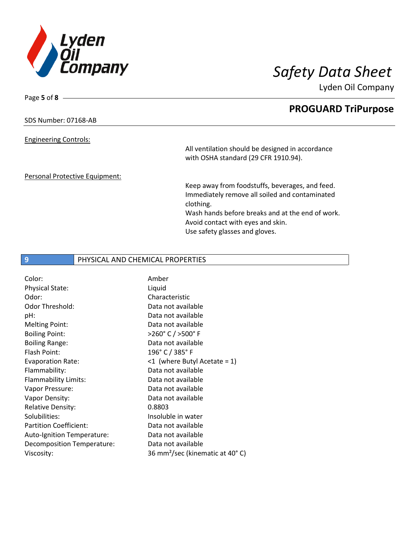

Lyden Oil Company

### SDS Number: 07168-AB

Page **5** of **8**

#### Engineering Controls:

All ventilation should be designed in accordance with OSHA standard (29 CFR 1910.94).

#### Personal Protective Equipment:

Keep away from foodstuffs, beverages, and feed. Immediately remove all soiled and contaminated clothing. Wash hands before breaks and at the end of work.

Avoid contact with eyes and skin. Use safety glasses and gloves.

### **9** PHYSICAL AND CHEMICAL PROPERTIES

| Color:                        | Amber                                       |
|-------------------------------|---------------------------------------------|
| Physical State:               | Liquid                                      |
| Odor:                         | Characteristic                              |
| Odor Threshold:               | Data not available                          |
| pH:                           | Data not available                          |
| <b>Melting Point:</b>         | Data not available                          |
| <b>Boiling Point:</b>         | >260°C / >500°F                             |
| <b>Boiling Range:</b>         | Data not available                          |
| Flash Point:                  | 196° C / 385° F                             |
| <b>Evaporation Rate:</b>      | $\leq 1$ (where Butyl Acetate = 1)          |
| Flammability:                 | Data not available                          |
| Flammability Limits:          | Data not available                          |
| Vapor Pressure:               | Data not available                          |
| Vapor Density:                | Data not available                          |
| <b>Relative Density:</b>      | 0.8803                                      |
| Solubilities:                 | Insoluble in water                          |
| <b>Partition Coefficient:</b> | Data not available                          |
| Auto-Ignition Temperature:    | Data not available                          |
| Decomposition Temperature:    | Data not available                          |
| Viscosity:                    | 36 mm <sup>2</sup> /sec (kinematic at 40°C) |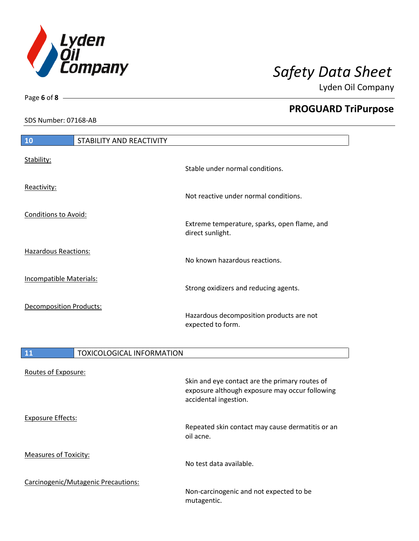

Lyden Oil Company

SDS Number: 07168-AB

Page **6** of **8**

| 10                             | STABILITY AND REACTIVITY |                                                                  |
|--------------------------------|--------------------------|------------------------------------------------------------------|
| Stability:                     |                          | Stable under normal conditions.                                  |
| Reactivity:                    |                          | Not reactive under normal conditions.                            |
| <b>Conditions to Avoid:</b>    |                          | Extreme temperature, sparks, open flame, and<br>direct sunlight. |
| <b>Hazardous Reactions:</b>    |                          | No known hazardous reactions.                                    |
| <b>Incompatible Materials:</b> |                          | Strong oxidizers and reducing agents.                            |
| Decomposition Products:        |                          | Hazardous decomposition products are not<br>expected to form.    |

| <b>11</b>                    | <b>TOXICOLOGICAL INFORMATION</b>    |                                                                                                                           |
|------------------------------|-------------------------------------|---------------------------------------------------------------------------------------------------------------------------|
| Routes of Exposure:          |                                     | Skin and eye contact are the primary routes of<br>exposure although exposure may occur following<br>accidental ingestion. |
| <b>Exposure Effects:</b>     |                                     | Repeated skin contact may cause dermatitis or an<br>oil acne.                                                             |
| <b>Measures of Toxicity:</b> |                                     | No test data available.                                                                                                   |
|                              | Carcinogenic/Mutagenic Precautions: | Non-carcinogenic and not expected to be<br>mutagentic.                                                                    |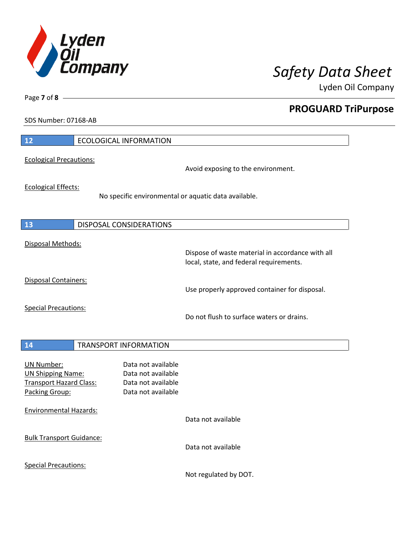

Lyden Oil Company

SDS Number: 07168-AB

Page **7** of **8**

| 12                                                                                                | <b>ECOLOGICAL INFORMATION</b>                                                        |                                                                                             |
|---------------------------------------------------------------------------------------------------|--------------------------------------------------------------------------------------|---------------------------------------------------------------------------------------------|
| <b>Ecological Precautions:</b>                                                                    |                                                                                      | Avoid exposing to the environment.                                                          |
| <b>Ecological Effects:</b>                                                                        |                                                                                      | No specific environmental or aquatic data available.                                        |
| 13                                                                                                | <b>DISPOSAL CONSIDERATIONS</b>                                                       |                                                                                             |
| Disposal Methods:                                                                                 |                                                                                      | Dispose of waste material in accordance with all<br>local, state, and federal requirements. |
| <b>Disposal Containers:</b>                                                                       |                                                                                      | Use properly approved container for disposal.                                               |
| <b>Special Precautions:</b>                                                                       |                                                                                      | Do not flush to surface waters or drains.                                                   |
| 14                                                                                                | <b>TRANSPORT INFORMATION</b>                                                         |                                                                                             |
| <b>UN Number:</b><br><b>UN Shipping Name:</b><br><b>Transport Hazard Class:</b><br>Packing Group: | Data not available<br>Data not available<br>Data not available<br>Data not available |                                                                                             |
| <b>Environmental Hazards:</b>                                                                     |                                                                                      | Data not available                                                                          |
| <b>Bulk Transport Guidance:</b>                                                                   |                                                                                      | Data not available                                                                          |
| <b>Special Precautions:</b>                                                                       |                                                                                      |                                                                                             |

Not regulated by DOT.